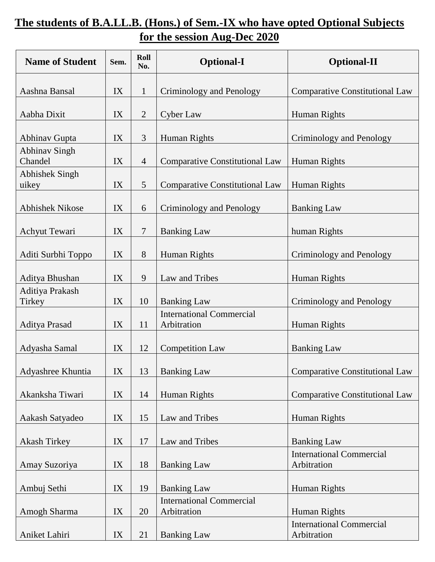## **The students of B.A.LL.B. (Hons.) of Sem.-IX who have opted Optional Subjects for the session Aug-Dec 2020**

| <b>Name of Student</b>          | Sem. | Roll<br>No.    | <b>Optional-I</b>                              | <b>Optional-II</b>                             |
|---------------------------------|------|----------------|------------------------------------------------|------------------------------------------------|
| Aashna Bansal                   | IX   | $\mathbf{1}$   | Criminology and Penology                       | <b>Comparative Constitutional Law</b>          |
| Aabha Dixit                     | IX   | $\overline{2}$ | <b>Cyber Law</b>                               | Human Rights                                   |
| <b>Abhinav Gupta</b>            | IX   | 3              | Human Rights                                   | Criminology and Penology                       |
| <b>Abhinav Singh</b><br>Chandel | IX   | $\overline{4}$ | <b>Comparative Constitutional Law</b>          | Human Rights                                   |
| <b>Abhishek Singh</b><br>uikey  | IX   | 5              | <b>Comparative Constitutional Law</b>          | Human Rights                                   |
| <b>Abhishek Nikose</b>          | IX   | 6              | Criminology and Penology                       | <b>Banking Law</b>                             |
| Achyut Tewari                   | IX   | $\overline{7}$ | <b>Banking Law</b>                             | human Rights                                   |
| Aditi Surbhi Toppo              | IX   | 8              | Human Rights                                   | Criminology and Penology                       |
| Aditya Bhushan                  | IX   | 9              | Law and Tribes                                 | Human Rights                                   |
| Aditiya Prakash<br>Tirkey       | IX   | 10             | <b>Banking Law</b>                             | Criminology and Penology                       |
| Aditya Prasad                   | IX   | 11             | <b>International Commercial</b><br>Arbitration | Human Rights                                   |
| Adyasha Samal                   | IX   | 12             | <b>Competition Law</b>                         | <b>Banking Law</b>                             |
| Adyashree Khuntia               | IX   | 13             | <b>Banking Law</b>                             | <b>Comparative Constitutional Law</b>          |
| Akanksha Tiwari                 | IX   | 14             | Human Rights                                   | <b>Comparative Constitutional Law</b>          |
| Aakash Satyadeo                 | IX   | 15             | Law and Tribes                                 | Human Rights                                   |
| <b>Akash Tirkey</b>             | IX   | 17             | Law and Tribes                                 | <b>Banking Law</b>                             |
| Amay Suzoriya                   | IX   | 18             | <b>Banking Law</b>                             | <b>International Commercial</b><br>Arbitration |
| Ambuj Sethi                     | IX   | 19             | <b>Banking Law</b>                             | Human Rights                                   |
| Amogh Sharma                    | IX   | 20             | <b>International Commercial</b><br>Arbitration | Human Rights                                   |
| Aniket Lahiri                   | IX   | 21             | <b>Banking Law</b>                             | <b>International Commercial</b><br>Arbitration |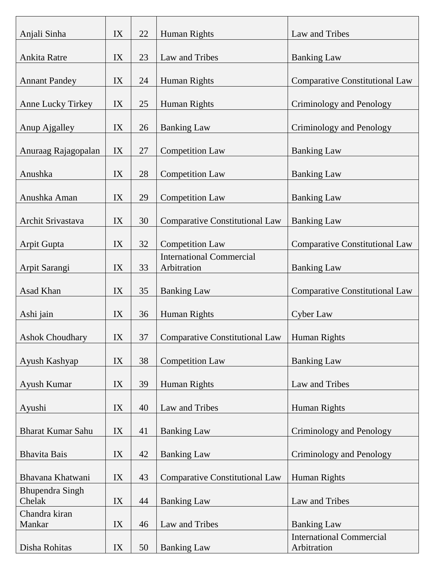| Anjali Sinha                     | IX | 22     | Human Rights                                   | Law and Tribes                                 |
|----------------------------------|----|--------|------------------------------------------------|------------------------------------------------|
| Ankita Ratre                     | IX | 23     | Law and Tribes                                 | <b>Banking Law</b>                             |
|                                  |    |        |                                                |                                                |
| <b>Annant Pandey</b>             | IX | 24     | Human Rights                                   | <b>Comparative Constitutional Law</b>          |
| Anne Lucky Tirkey                | IX | 25     | Human Rights                                   | Criminology and Penology                       |
| Anup Ajgalley                    | IX | 26     | <b>Banking Law</b>                             | Criminology and Penology                       |
| Anuraag Rajagopalan              | IX | $27\,$ | <b>Competition Law</b>                         | <b>Banking Law</b>                             |
| Anushka                          | IX | 28     | <b>Competition Law</b>                         | <b>Banking Law</b>                             |
| Anushka Aman                     | IX | 29     | <b>Competition Law</b>                         | <b>Banking Law</b>                             |
| Archit Srivastava                | IX | 30     | <b>Comparative Constitutional Law</b>          | <b>Banking Law</b>                             |
| <b>Arpit Gupta</b>               | IX | 32     | <b>Competition Law</b>                         | <b>Comparative Constitutional Law</b>          |
| Arpit Sarangi                    | IX | 33     | <b>International Commercial</b><br>Arbitration | <b>Banking Law</b>                             |
| Asad Khan                        | IX | 35     | <b>Banking Law</b>                             | <b>Comparative Constitutional Law</b>          |
| Ashi jain                        | IX | 36     | Human Rights                                   | <b>Cyber Law</b>                               |
| <b>Ashok Choudhary</b>           | IX | 37     | <b>Comparative Constitutional Law</b>          | Human Rights                                   |
| Ayush Kashyap                    | IX | 38     | <b>Competition Law</b>                         | <b>Banking Law</b>                             |
| Ayush Kumar                      | IX | 39     | Human Rights                                   | Law and Tribes                                 |
| Ayushi                           | IX | 40     | Law and Tribes                                 | Human Rights                                   |
| <b>Bharat Kumar Sahu</b>         | IX | 41     | <b>Banking Law</b>                             | Criminology and Penology                       |
| <b>Bhavita Bais</b>              | IX | 42     | <b>Banking Law</b>                             | Criminology and Penology                       |
| Bhavana Khatwani                 | IX | 43     | <b>Comparative Constitutional Law</b>          | Human Rights                                   |
| <b>Bhupendra Singh</b><br>Chelak | IX | 44     | <b>Banking Law</b>                             | Law and Tribes                                 |
| Chandra kiran                    |    |        |                                                |                                                |
| Mankar                           | IX | 46     | Law and Tribes                                 | <b>Banking Law</b>                             |
| Disha Rohitas                    | IX | 50     | <b>Banking Law</b>                             | <b>International Commercial</b><br>Arbitration |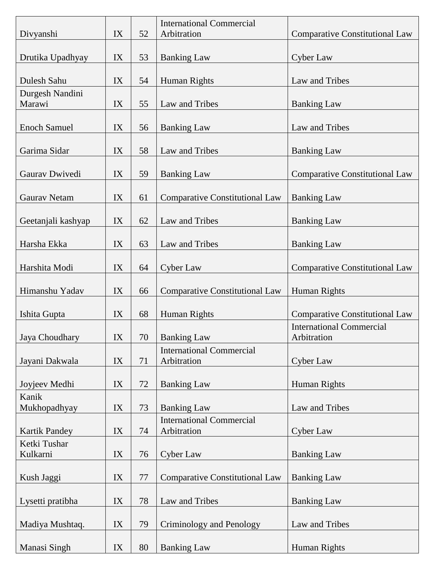| Divyanshi                 | IX | 52 | <b>International Commercial</b><br>Arbitration | <b>Comparative Constitutional Law</b>          |
|---------------------------|----|----|------------------------------------------------|------------------------------------------------|
| Drutika Upadhyay          | IX | 53 | <b>Banking Law</b>                             | <b>Cyber Law</b>                               |
| Dulesh Sahu               | IX | 54 | Human Rights                                   | Law and Tribes                                 |
| Durgesh Nandini<br>Marawi | IX | 55 | Law and Tribes                                 | <b>Banking Law</b>                             |
| <b>Enoch Samuel</b>       | IX | 56 | <b>Banking Law</b>                             | Law and Tribes                                 |
| Garima Sidar              | IX | 58 | Law and Tribes                                 | <b>Banking Law</b>                             |
| Gaurav Dwivedi            | IX | 59 | <b>Banking Law</b>                             | <b>Comparative Constitutional Law</b>          |
| <b>Gaurav Netam</b>       | IX | 61 | <b>Comparative Constitutional Law</b>          | <b>Banking Law</b>                             |
| Geetanjali kashyap        | IX | 62 | Law and Tribes                                 | <b>Banking Law</b>                             |
| Harsha Ekka               | IX | 63 | Law and Tribes                                 | <b>Banking Law</b>                             |
| Harshita Modi             | IX | 64 | <b>Cyber Law</b>                               | <b>Comparative Constitutional Law</b>          |
| Himanshu Yadav            | IX | 66 | <b>Comparative Constitutional Law</b>          | Human Rights                                   |
| Ishita Gupta              | IX | 68 | Human Rights                                   | <b>Comparative Constitutional Law</b>          |
| Jaya Choudhary            | IX | 70 | <b>Banking Law</b>                             | <b>International Commercial</b><br>Arbitration |
| Jayani Dakwala            | IX | 71 | <b>International Commercial</b><br>Arbitration | Cyber Law                                      |
| Joyjeev Medhi             | IX | 72 | <b>Banking Law</b>                             | Human Rights                                   |
| Kanik<br>Mukhopadhyay     | IX | 73 | <b>Banking Law</b>                             | Law and Tribes                                 |
| <b>Kartik Pandey</b>      | IX | 74 | <b>International Commercial</b><br>Arbitration | Cyber Law                                      |
| Ketki Tushar<br>Kulkarni  | IX | 76 | <b>Cyber Law</b>                               | <b>Banking Law</b>                             |
| Kush Jaggi                | IX | 77 | <b>Comparative Constitutional Law</b>          | <b>Banking Law</b>                             |
| Lysetti pratibha          | IX | 78 | Law and Tribes                                 | <b>Banking Law</b>                             |
|                           | IX | 79 |                                                |                                                |
| Madiya Mushtaq.           |    |    | Criminology and Penology                       | Law and Tribes                                 |
| Manasi Singh              | IX | 80 | <b>Banking Law</b>                             | Human Rights                                   |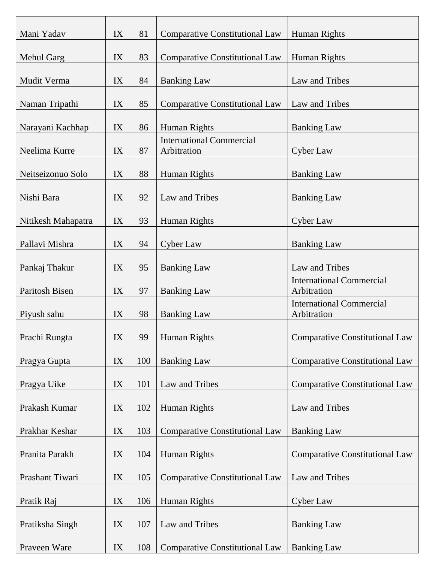| Mani Yadav         | IX | 81  | <b>Comparative Constitutional Law</b> | Human Rights                                   |
|--------------------|----|-----|---------------------------------------|------------------------------------------------|
| Mehul Garg         | IX | 83  | <b>Comparative Constitutional Law</b> | <b>Human Rights</b>                            |
| Mudit Verma        | IX | 84  | <b>Banking Law</b>                    | Law and Tribes                                 |
| Naman Tripathi     | IX | 85  | <b>Comparative Constitutional Law</b> | Law and Tribes                                 |
| Narayani Kachhap   | IX | 86  | Human Rights                          | <b>Banking Law</b>                             |
|                    |    |     | <b>International Commercial</b>       |                                                |
| Neelima Kurre      | IX | 87  | Arbitration                           | Cyber Law                                      |
| Neitseizonuo Solo  | IX | 88  | Human Rights                          | <b>Banking Law</b>                             |
| Nishi Bara         | IX | 92  | Law and Tribes                        | <b>Banking Law</b>                             |
| Nitikesh Mahapatra | IX | 93  | Human Rights                          | <b>Cyber Law</b>                               |
| Pallavi Mishra     | IX | 94  | <b>Cyber Law</b>                      | <b>Banking Law</b>                             |
| Pankaj Thakur      | IX | 95  | <b>Banking Law</b>                    | Law and Tribes                                 |
| Paritosh Bisen     | IX | 97  | <b>Banking Law</b>                    | <b>International Commercial</b><br>Arbitration |
| Piyush sahu        | IX | 98  | <b>Banking Law</b>                    | <b>International Commercial</b><br>Arbitration |
|                    |    |     |                                       |                                                |
| Prachi Rungta      | IX | 99  | Human Rights                          | <b>Comparative Constitutional Law</b>          |
| Pragya Gupta       | IX | 100 | <b>Banking Law</b>                    | <b>Comparative Constitutional Law</b>          |
| Pragya Uike        | IX | 101 | Law and Tribes                        | <b>Comparative Constitutional Law</b>          |
| Prakash Kumar      | IX | 102 | Human Rights                          | Law and Tribes                                 |
| Prakhar Keshar     | IX | 103 | <b>Comparative Constitutional Law</b> | <b>Banking Law</b>                             |
| Pranita Parakh     | IX | 104 | Human Rights                          | <b>Comparative Constitutional Law</b>          |
| Prashant Tiwari    | IX | 105 | <b>Comparative Constitutional Law</b> | Law and Tribes                                 |
| Pratik Raj         | IX | 106 | Human Rights                          | <b>Cyber Law</b>                               |
|                    |    |     |                                       |                                                |
| Pratiksha Singh    | IX | 107 | Law and Tribes                        | <b>Banking Law</b>                             |
| Praveen Ware       | IX | 108 | <b>Comparative Constitutional Law</b> | <b>Banking Law</b>                             |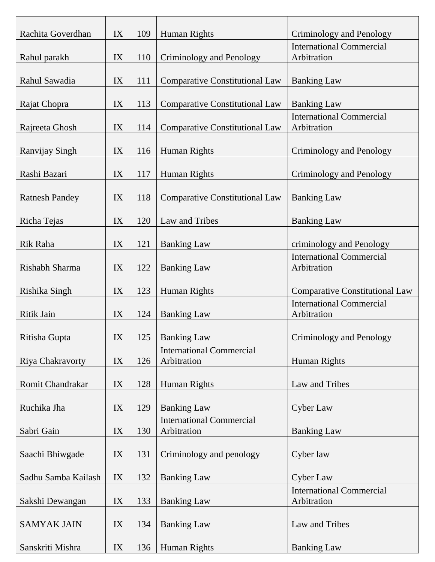| Rachita Goverdhan     | IX            | 109 | Human Rights                          | Criminology and Penology                       |
|-----------------------|---------------|-----|---------------------------------------|------------------------------------------------|
| Rahul parakh          | IX            | 110 | Criminology and Penology              | <b>International Commercial</b><br>Arbitration |
|                       |               |     |                                       |                                                |
| Rahul Sawadia         | IX            | 111 | <b>Comparative Constitutional Law</b> | <b>Banking Law</b>                             |
| Rajat Chopra          | IX            | 113 | <b>Comparative Constitutional Law</b> | <b>Banking Law</b>                             |
|                       |               |     |                                       | <b>International Commercial</b>                |
| Rajreeta Ghosh        | IX            | 114 | <b>Comparative Constitutional Law</b> | Arbitration                                    |
| Ranvijay Singh        | IX            | 116 | Human Rights                          | Criminology and Penology                       |
| Rashi Bazari          | IX            | 117 | Human Rights                          | Criminology and Penology                       |
|                       |               |     |                                       |                                                |
| <b>Ratnesh Pandey</b> | IX            | 118 | <b>Comparative Constitutional Law</b> | <b>Banking Law</b>                             |
| Richa Tejas           | IX            | 120 | Law and Tribes                        | <b>Banking Law</b>                             |
|                       |               |     |                                       |                                                |
| Rik Raha              | IX            | 121 | <b>Banking Law</b>                    | criminology and Penology                       |
|                       |               |     |                                       | <b>International Commercial</b>                |
| Rishabh Sharma        | IX            | 122 | <b>Banking Law</b>                    | Arbitration                                    |
| Rishika Singh         | IX            | 123 | Human Rights                          | <b>Comparative Constitutional Law</b>          |
|                       |               |     |                                       | <b>International Commercial</b>                |
| Ritik Jain            | IX            | 124 | <b>Banking Law</b>                    | Arbitration                                    |
| Ritisha Gupta         | IX            | 125 | <b>Banking Law</b>                    | Criminology and Penology                       |
|                       |               |     | <b>International Commercial</b>       |                                                |
| Riya Chakravorty      | IX            | 126 | Arbitration                           | <b>Human Rights</b>                            |
| Romit Chandrakar      | IX            | 128 | Human Rights                          | Law and Tribes                                 |
| Ruchika Jha           | IX            | 129 | <b>Banking Law</b>                    | <b>Cyber Law</b>                               |
|                       |               |     | <b>International Commercial</b>       |                                                |
| Sabri Gain            | IX            | 130 | Arbitration                           | <b>Banking Law</b>                             |
|                       |               |     |                                       |                                                |
| Saachi Bhiwgade       | IX            | 131 | Criminology and penology              | Cyber law                                      |
| Sadhu Samba Kailash   | IX            | 132 | <b>Banking Law</b>                    | Cyber Law                                      |
|                       |               |     |                                       | <b>International Commercial</b>                |
| Sakshi Dewangan       | $\mathbf{IX}$ | 133 | <b>Banking Law</b>                    | Arbitration                                    |
| <b>SAMYAK JAIN</b>    | IX            | 134 | <b>Banking Law</b>                    | Law and Tribes                                 |
|                       |               |     |                                       |                                                |
| Sanskriti Mishra      | IX            | 136 | Human Rights                          | <b>Banking Law</b>                             |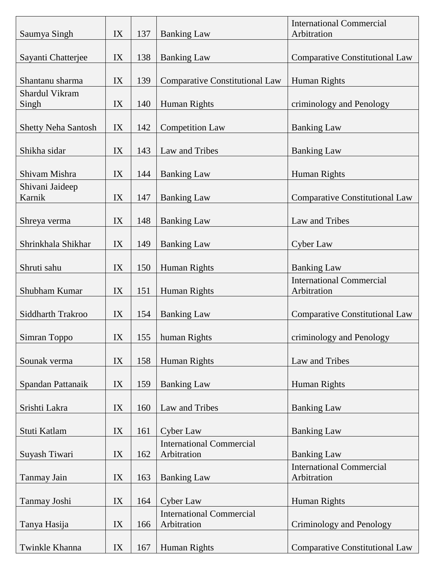| Saumya Singh               | IX | 137 | <b>Banking Law</b>                    | <b>International Commercial</b><br>Arbitration |
|----------------------------|----|-----|---------------------------------------|------------------------------------------------|
| Sayanti Chatterjee         | IX | 138 | <b>Banking Law</b>                    | <b>Comparative Constitutional Law</b>          |
|                            |    |     |                                       |                                                |
| Shantanu sharma            | IX | 139 | <b>Comparative Constitutional Law</b> | Human Rights                                   |
| Shardul Vikram             |    |     |                                       |                                                |
| Singh                      | IX | 140 | Human Rights                          | criminology and Penology                       |
| <b>Shetty Neha Santosh</b> | IX | 142 | <b>Competition Law</b>                | <b>Banking Law</b>                             |
|                            |    |     |                                       |                                                |
| Shikha sidar               | IX | 143 | Law and Tribes                        | <b>Banking Law</b>                             |
|                            |    |     |                                       |                                                |
| Shivam Mishra              | IX | 144 | <b>Banking Law</b>                    | Human Rights                                   |
| Shivani Jaideep<br>Karnik  | IX | 147 | <b>Banking Law</b>                    | <b>Comparative Constitutional Law</b>          |
|                            |    |     |                                       |                                                |
| Shreya verma               | IX | 148 | <b>Banking Law</b>                    | Law and Tribes                                 |
|                            |    |     |                                       |                                                |
| Shrinkhala Shikhar         | IX | 149 | <b>Banking Law</b>                    | Cyber Law                                      |
|                            |    |     |                                       |                                                |
| Shruti sahu                | IX | 150 | Human Rights                          | <b>Banking Law</b>                             |
| Shubham Kumar              | IX | 151 | Human Rights                          | <b>International Commercial</b><br>Arbitration |
| Siddharth Trakroo          | IX | 154 | <b>Banking Law</b>                    | <b>Comparative Constitutional Law</b>          |
|                            |    |     |                                       |                                                |
| Simran Toppo               | IX | 155 | human Rights                          | criminology and Penology                       |
| Sounak verma               | IX | 158 | Human Rights                          | Law and Tribes                                 |
|                            |    |     |                                       |                                                |
| Spandan Pattanaik          | IX | 159 | <b>Banking Law</b>                    | Human Rights                                   |
|                            |    |     |                                       |                                                |
| Srishti Lakra              | IX | 160 | Law and Tribes                        | <b>Banking Law</b>                             |
| Stuti Katlam               | IX | 161 | <b>Cyber Law</b>                      | <b>Banking Law</b>                             |
|                            |    |     | <b>International Commercial</b>       |                                                |
| Suyash Tiwari              | IX | 162 | Arbitration                           | <b>Banking Law</b>                             |
|                            |    |     |                                       | <b>International Commercial</b>                |
| <b>Tanmay Jain</b>         | IX | 163 | <b>Banking Law</b>                    | Arbitration                                    |
| Tanmay Joshi               | IX | 164 | <b>Cyber Law</b>                      | Human Rights                                   |
|                            |    |     | <b>International Commercial</b>       |                                                |
| Tanya Hasija               | IX | 166 | Arbitration                           | Criminology and Penology                       |
|                            |    |     |                                       |                                                |
| Twinkle Khanna             | IX | 167 | Human Rights                          | <b>Comparative Constitutional Law</b>          |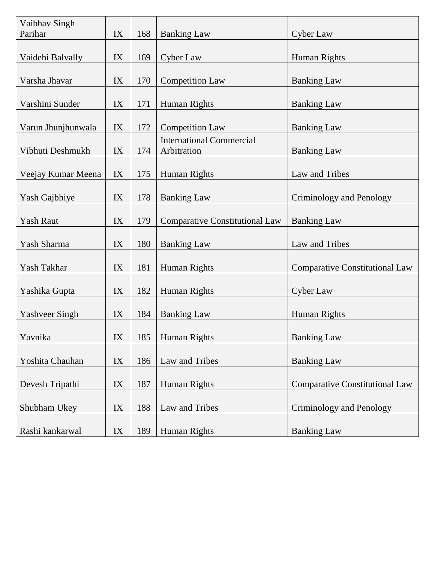| Vaibhav Singh<br>Parihar | IX | 168 | <b>Banking Law</b>                             | <b>Cyber Law</b>                      |
|--------------------------|----|-----|------------------------------------------------|---------------------------------------|
|                          |    |     |                                                |                                       |
| Vaidehi Balvally         | IX | 169 | <b>Cyber Law</b>                               | <b>Human Rights</b>                   |
| Varsha Jhavar            | IX | 170 | <b>Competition Law</b>                         | <b>Banking Law</b>                    |
| Varshini Sunder          | IX | 171 | Human Rights                                   | <b>Banking Law</b>                    |
| Varun Jhunjhunwala       | IX | 172 | <b>Competition Law</b>                         | <b>Banking Law</b>                    |
| Vibhuti Deshmukh         | IX | 174 | <b>International Commercial</b><br>Arbitration | <b>Banking Law</b>                    |
| Veejay Kumar Meena       | IX | 175 | Human Rights                                   | Law and Tribes                        |
| Yash Gajbhiye            | IX | 178 | <b>Banking Law</b>                             | Criminology and Penology              |
| <b>Yash Raut</b>         | IX | 179 | <b>Comparative Constitutional Law</b>          | <b>Banking Law</b>                    |
| Yash Sharma              | IX | 180 | <b>Banking Law</b>                             | Law and Tribes                        |
| Yash Takhar              | IX | 181 | Human Rights                                   | <b>Comparative Constitutional Law</b> |
|                          |    |     |                                                |                                       |
| Yashika Gupta            | IX | 182 | Human Rights                                   | Cyber Law                             |
| <b>Yashveer Singh</b>    | IX | 184 | <b>Banking Law</b>                             | Human Rights                          |
| Yavnika                  | IX | 185 | Human Rights                                   | <b>Banking Law</b>                    |
| Yoshita Chauhan          | IX | 186 | Law and Tribes                                 | <b>Banking Law</b>                    |
| Devesh Tripathi          | IX | 187 | Human Rights                                   | <b>Comparative Constitutional Law</b> |
|                          |    |     |                                                |                                       |
| Shubham Ukey             | IX | 188 | Law and Tribes                                 | Criminology and Penology              |
| Rashi kankarwal          | IX | 189 | Human Rights                                   | <b>Banking Law</b>                    |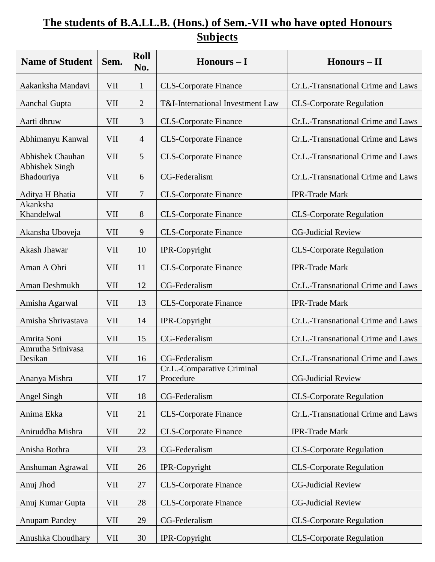## **The students of B.A.LL.B. (Hons.) of Sem.-VII who have opted Honours Subjects**

| <b>Name of Student</b>              | Sem.       | <b>Roll</b><br>No. | $H$ onours – I                          | $H$ onours – II                    |
|-------------------------------------|------------|--------------------|-----------------------------------------|------------------------------------|
| Aakanksha Mandavi                   | <b>VII</b> | $\mathbf{1}$       | <b>CLS-Corporate Finance</b>            | Cr.L.-Transnational Crime and Laws |
| Aanchal Gupta                       | VII        | $\overline{2}$     | T&I-International Investment Law        | <b>CLS-Corporate Regulation</b>    |
| Aarti dhruw                         | VII        | 3                  | <b>CLS-Corporate Finance</b>            | Cr.L.-Transnational Crime and Laws |
| Abhimanyu Kanwal                    | VII        | $\overline{4}$     | <b>CLS-Corporate Finance</b>            | Cr.L.-Transnational Crime and Laws |
| <b>Abhishek Chauhan</b>             | VII        | 5                  | <b>CLS-Corporate Finance</b>            | Cr.L.-Transnational Crime and Laws |
| <b>Abhishek Singh</b><br>Bhadouriya | <b>VII</b> | 6                  | CG-Federalism                           | Cr.L.-Transnational Crime and Laws |
| Aditya H Bhatia                     | VII        | 7                  | <b>CLS-Corporate Finance</b>            | <b>IPR-Trade Mark</b>              |
| Akanksha<br>Khandelwal              | <b>VII</b> | 8                  | <b>CLS-Corporate Finance</b>            | <b>CLS-Corporate Regulation</b>    |
| Akansha Uboveja                     | VII        | 9                  | <b>CLS-Corporate Finance</b>            | <b>CG-Judicial Review</b>          |
| Akash Jhawar                        | <b>VII</b> | 10                 | IPR-Copyright                           | <b>CLS-Corporate Regulation</b>    |
| Aman A Ohri                         | VII        | 11                 | <b>CLS-Corporate Finance</b>            | <b>IPR-Trade Mark</b>              |
| Aman Deshmukh                       | <b>VII</b> | 12                 | CG-Federalism                           | Cr.L.-Transnational Crime and Laws |
| Amisha Agarwal                      | <b>VII</b> | 13                 | <b>CLS-Corporate Finance</b>            | <b>IPR-Trade Mark</b>              |
| Amisha Shrivastava                  | VII        | 14                 | IPR-Copyright                           | Cr.L.-Transnational Crime and Laws |
| Amrita Soni                         | <b>VII</b> | 15                 | CG-Federalism                           | Cr.L.-Transnational Crime and Laws |
| Amrutha Srinivasa<br>Desikan        | VII        | 16                 | CG-Federalism                           | Cr.L.-Transnational Crime and Laws |
| Ananya Mishra                       | <b>VII</b> | 17                 | Cr.L.-Comparative Criminal<br>Procedure | <b>CG-Judicial Review</b>          |
| Angel Singh                         | <b>VII</b> | 18                 | CG-Federalism                           | <b>CLS-Corporate Regulation</b>    |
| Anima Ekka                          | <b>VII</b> | 21                 | <b>CLS-Corporate Finance</b>            | Cr.L.-Transnational Crime and Laws |
| Aniruddha Mishra                    | VII        | 22                 | <b>CLS-Corporate Finance</b>            | <b>IPR-Trade Mark</b>              |
| Anisha Bothra                       | <b>VII</b> | 23                 | CG-Federalism                           | <b>CLS-Corporate Regulation</b>    |
| Anshuman Agrawal                    | VII        | 26                 | IPR-Copyright                           | <b>CLS-Corporate Regulation</b>    |
| Anuj Jhod                           | VII        | 27                 | <b>CLS-Corporate Finance</b>            | <b>CG-Judicial Review</b>          |
| Anuj Kumar Gupta                    | <b>VII</b> | 28                 | <b>CLS-Corporate Finance</b>            | <b>CG-Judicial Review</b>          |
| <b>Anupam Pandey</b>                | <b>VII</b> | 29                 | CG-Federalism                           | <b>CLS-Corporate Regulation</b>    |
| Anushka Choudhary                   | <b>VII</b> | 30                 | IPR-Copyright                           | <b>CLS-Corporate Regulation</b>    |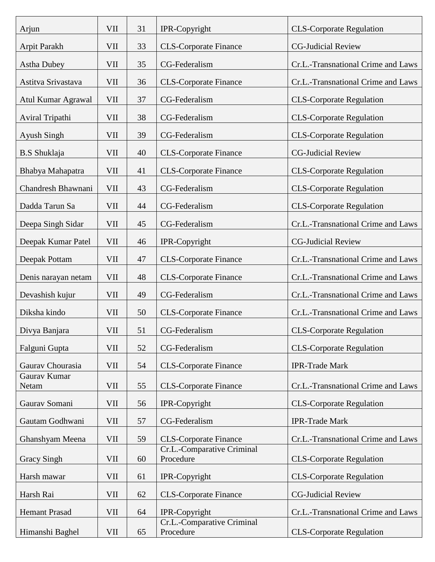| Arjun                 | VII        | 31 | IPR-Copyright                           | <b>CLS-Corporate Regulation</b>    |
|-----------------------|------------|----|-----------------------------------------|------------------------------------|
| Arpit Parakh          | VII        | 33 | <b>CLS-Corporate Finance</b>            | <b>CG-Judicial Review</b>          |
| <b>Astha Dubey</b>    | VII        | 35 | CG-Federalism                           | Cr.L.-Transnational Crime and Laws |
| Astitva Srivastava    | VII        | 36 | <b>CLS-Corporate Finance</b>            | Cr.L.-Transnational Crime and Laws |
| Atul Kumar Agrawal    | VII        | 37 | CG-Federalism                           | <b>CLS-Corporate Regulation</b>    |
| Aviral Tripathi       | <b>VII</b> | 38 | CG-Federalism                           | <b>CLS-Corporate Regulation</b>    |
| Ayush Singh           | VII        | 39 | CG-Federalism                           | <b>CLS-Corporate Regulation</b>    |
| <b>B.S</b> Shuklaja   | VII        | 40 | <b>CLS-Corporate Finance</b>            | <b>CG-Judicial Review</b>          |
| Bhabya Mahapatra      | VII        | 41 | <b>CLS-Corporate Finance</b>            | <b>CLS-Corporate Regulation</b>    |
| Chandresh Bhawnani    | VII        | 43 | CG-Federalism                           | <b>CLS-Corporate Regulation</b>    |
| Dadda Tarun Sa        | VII        | 44 | CG-Federalism                           | <b>CLS-Corporate Regulation</b>    |
| Deepa Singh Sidar     | VII        | 45 | CG-Federalism                           | Cr.L.-Transnational Crime and Laws |
| Deepak Kumar Patel    | VII        | 46 | IPR-Copyright                           | <b>CG-Judicial Review</b>          |
| Deepak Pottam         | VII        | 47 | <b>CLS-Corporate Finance</b>            | Cr.L.-Transnational Crime and Laws |
| Denis narayan netam   | VII        | 48 | <b>CLS-Corporate Finance</b>            | Cr.L.-Transnational Crime and Laws |
| Devashish kujur       | VII        | 49 | CG-Federalism                           | Cr.L.-Transnational Crime and Laws |
| Diksha kindo          | VII        | 50 | <b>CLS-Corporate Finance</b>            | Cr.L.-Transnational Crime and Laws |
| Divya Banjara         | VII        | 51 | CG-Federalism                           | <b>CLS-Corporate Regulation</b>    |
| Falguni Gupta         | VII        | 52 | CG-Federalism                           | <b>CLS-Corporate Regulation</b>    |
| Gaurav Chourasia      | VII        | 54 | <b>CLS-Corporate Finance</b>            | <b>IPR-Trade Mark</b>              |
| Gaurav Kumar<br>Netam | <b>VII</b> | 55 | <b>CLS-Corporate Finance</b>            | Cr.L.-Transnational Crime and Laws |
| Gaurav Somani         | VII        | 56 | IPR-Copyright                           | <b>CLS-Corporate Regulation</b>    |
| Gautam Godhwani       | VII        | 57 | CG-Federalism                           | <b>IPR-Trade Mark</b>              |
| Ghanshyam Meena       | VII        | 59 | <b>CLS-Corporate Finance</b>            | Cr.L.-Transnational Crime and Laws |
| <b>Gracy Singh</b>    | VII        | 60 | Cr.L.-Comparative Criminal<br>Procedure | <b>CLS-Corporate Regulation</b>    |
| Harsh mawar           | VII        | 61 | IPR-Copyright                           | <b>CLS-Corporate Regulation</b>    |
| Harsh Rai             | VII        | 62 | <b>CLS-Corporate Finance</b>            | <b>CG-Judicial Review</b>          |
| <b>Hemant Prasad</b>  | VII        | 64 | IPR-Copyright                           | Cr.L.-Transnational Crime and Laws |
| Himanshi Baghel       | VII        | 65 | Cr.L.-Comparative Criminal<br>Procedure | <b>CLS-Corporate Regulation</b>    |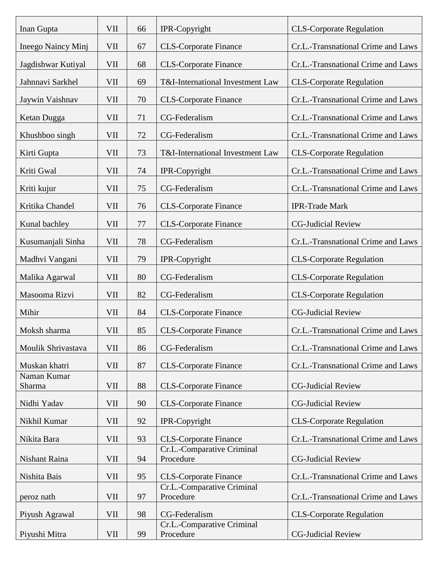| Inan Gupta            | VII        | 66 | IPR-Copyright                           | <b>CLS-Corporate Regulation</b>    |
|-----------------------|------------|----|-----------------------------------------|------------------------------------|
| Ineego Naincy Minj    | VII        | 67 | <b>CLS-Corporate Finance</b>            | Cr.L.-Transnational Crime and Laws |
| Jagdishwar Kutiyal    | VII        | 68 | <b>CLS-Corporate Finance</b>            | Cr.L.-Transnational Crime and Laws |
| Jahnnavi Sarkhel      | VII        | 69 | T&I-International Investment Law        | <b>CLS-Corporate Regulation</b>    |
| Jaywin Vaishnav       | <b>VII</b> | 70 | <b>CLS-Corporate Finance</b>            | Cr.L.-Transnational Crime and Laws |
| Ketan Dugga           | <b>VII</b> | 71 | CG-Federalism                           | Cr.L.-Transnational Crime and Laws |
| Khushboo singh        | VII        | 72 | CG-Federalism                           | Cr.L.-Transnational Crime and Laws |
| Kirti Gupta           | <b>VII</b> | 73 | T&I-International Investment Law        | <b>CLS-Corporate Regulation</b>    |
| Kriti Gwal            | <b>VII</b> | 74 | IPR-Copyright                           | Cr.L.-Transnational Crime and Laws |
| Kriti kujur           | <b>VII</b> | 75 | CG-Federalism                           | Cr.L.-Transnational Crime and Laws |
| Kritika Chandel       | <b>VII</b> | 76 | <b>CLS-Corporate Finance</b>            | <b>IPR-Trade Mark</b>              |
| Kunal bachley         | VII        | 77 | <b>CLS-Corporate Finance</b>            | <b>CG-Judicial Review</b>          |
| Kusumanjali Sinha     | VII        | 78 | CG-Federalism                           | Cr.L.-Transnational Crime and Laws |
| Madhvi Vangani        | VII        | 79 | IPR-Copyright                           | <b>CLS-Corporate Regulation</b>    |
| Malika Agarwal        | VII        | 80 | CG-Federalism                           | <b>CLS-Corporate Regulation</b>    |
| Masooma Rizvi         | VII        | 82 | CG-Federalism                           | <b>CLS-Corporate Regulation</b>    |
| Mihir                 | <b>VII</b> | 84 | <b>CLS-Corporate Finance</b>            | <b>CG-Judicial Review</b>          |
| Moksh sharma          | <b>VII</b> | 85 | <b>CLS-Corporate Finance</b>            | Cr.L.-Transnational Crime and Laws |
| Moulik Shrivastava    | VII        | 86 | CG-Federalism                           | Cr.L.-Transnational Crime and Laws |
| Muskan khatri         | <b>VII</b> | 87 | <b>CLS-Corporate Finance</b>            | Cr.L.-Transnational Crime and Laws |
| Naman Kumar<br>Sharma | <b>VII</b> | 88 | <b>CLS-Corporate Finance</b>            | <b>CG-Judicial Review</b>          |
| Nidhi Yadav           | <b>VII</b> | 90 | <b>CLS-Corporate Finance</b>            | <b>CG-Judicial Review</b>          |
| Nikhil Kumar          | <b>VII</b> | 92 | IPR-Copyright                           | <b>CLS-Corporate Regulation</b>    |
| Nikita Bara           | <b>VII</b> | 93 | <b>CLS-Corporate Finance</b>            | Cr.L.-Transnational Crime and Laws |
| Nishant Raina         | <b>VII</b> | 94 | Cr.L.-Comparative Criminal<br>Procedure | <b>CG-Judicial Review</b>          |
| Nishita Bais          | VII        | 95 | <b>CLS-Corporate Finance</b>            | Cr.L.-Transnational Crime and Laws |
| peroz nath            | <b>VII</b> | 97 | Cr.L.-Comparative Criminal<br>Procedure | Cr.L.-Transnational Crime and Laws |
| Piyush Agrawal        | <b>VII</b> | 98 | CG-Federalism                           | <b>CLS-Corporate Regulation</b>    |
| Piyushi Mitra         | <b>VII</b> | 99 | Cr.L.-Comparative Criminal<br>Procedure | <b>CG-Judicial Review</b>          |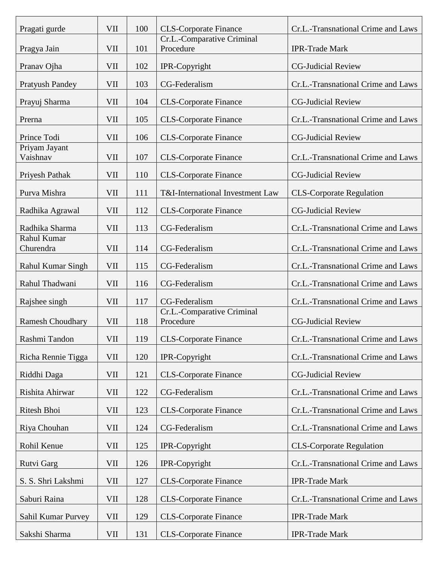| Pragati gurde             | VII        | 100 | <b>CLS-Corporate Finance</b>            | Cr.L.-Transnational Crime and Laws |
|---------------------------|------------|-----|-----------------------------------------|------------------------------------|
| Pragya Jain               | <b>VII</b> | 101 | Cr.L.-Comparative Criminal<br>Procedure | <b>IPR-Trade Mark</b>              |
| Pranav Ojha               | VII        | 102 | IPR-Copyright                           | <b>CG-Judicial Review</b>          |
| <b>Pratyush Pandey</b>    | VII        | 103 | CG-Federalism                           | Cr.L.-Transnational Crime and Laws |
| Prayuj Sharma             | VII        | 104 | <b>CLS-Corporate Finance</b>            | <b>CG-Judicial Review</b>          |
| Prerna                    | VII        | 105 | <b>CLS-Corporate Finance</b>            | Cr.L.-Transnational Crime and Laws |
| Prince Todi               | VII        | 106 | <b>CLS-Corporate Finance</b>            | <b>CG-Judicial Review</b>          |
| Priyam Jayant<br>Vaishnav | VII        | 107 | <b>CLS-Corporate Finance</b>            | Cr.L.-Transnational Crime and Laws |
| Priyesh Pathak            | VII        | 110 | <b>CLS-Corporate Finance</b>            | <b>CG-Judicial Review</b>          |
| Purva Mishra              | VII        | 111 | T&I-International Investment Law        | <b>CLS-Corporate Regulation</b>    |
| Radhika Agrawal           | <b>VII</b> | 112 | <b>CLS-Corporate Finance</b>            | <b>CG-Judicial Review</b>          |
| Radhika Sharma            | VII        | 113 | CG-Federalism                           | Cr.L.-Transnational Crime and Laws |
| Rahul Kumar<br>Churendra  | VII        | 114 | CG-Federalism                           | Cr.L.-Transnational Crime and Laws |
| <b>Rahul Kumar Singh</b>  | <b>VII</b> | 115 | CG-Federalism                           | Cr.L.-Transnational Crime and Laws |
| Rahul Thadwani            | VII        | 116 | CG-Federalism                           | Cr.L.-Transnational Crime and Laws |
| Rajshee singh             | VII        | 117 | CG-Federalism                           | Cr.L.-Transnational Crime and Laws |
| <b>Ramesh Choudhary</b>   | VII        | 118 | Cr.L.-Comparative Criminal<br>Procedure | <b>CG-Judicial Review</b>          |
| Rashmi Tandon             | VII        | 119 | <b>CLS-Corporate Finance</b>            | Cr.L.-Transnational Crime and Laws |
| Richa Rennie Tigga        | VII        | 120 | IPR-Copyright                           | Cr.L.-Transnational Crime and Laws |
| Riddhi Daga               | VII        | 121 | <b>CLS-Corporate Finance</b>            | <b>CG-Judicial Review</b>          |
| Rishita Ahirwar           | VII        | 122 | CG-Federalism                           | Cr.L.-Transnational Crime and Laws |
| Ritesh Bhoi               | VII        | 123 | <b>CLS-Corporate Finance</b>            | Cr.L.-Transnational Crime and Laws |
| Riya Chouhan              | VII        | 124 | CG-Federalism                           | Cr.L.-Transnational Crime and Laws |
| Rohil Kenue               | VII        | 125 | IPR-Copyright                           | <b>CLS-Corporate Regulation</b>    |
| Rutvi Garg                | VII        | 126 | IPR-Copyright                           | Cr.L.-Transnational Crime and Laws |
| S. S. Shri Lakshmi        | VII        | 127 | <b>CLS-Corporate Finance</b>            | <b>IPR-Trade Mark</b>              |
| Saburi Raina              | VII        | 128 | <b>CLS-Corporate Finance</b>            | Cr.L.-Transnational Crime and Laws |
| Sahil Kumar Purvey        | VII        | 129 | <b>CLS-Corporate Finance</b>            | <b>IPR-Trade Mark</b>              |
| Sakshi Sharma             | VII        | 131 | <b>CLS-Corporate Finance</b>            | <b>IPR-Trade Mark</b>              |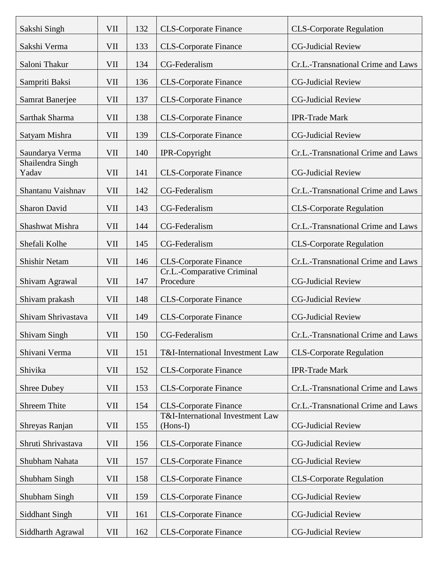| Sakshi Singh              | VII        | 132 | <b>CLS-Corporate Finance</b>                 | <b>CLS-Corporate Regulation</b>    |
|---------------------------|------------|-----|----------------------------------------------|------------------------------------|
| Sakshi Verma              | VII        | 133 | <b>CLS-Corporate Finance</b>                 | <b>CG-Judicial Review</b>          |
| Saloni Thakur             | VII        | 134 | CG-Federalism                                | Cr.L.-Transnational Crime and Laws |
| Sampriti Baksi            | <b>VII</b> | 136 | <b>CLS-Corporate Finance</b>                 | <b>CG-Judicial Review</b>          |
| Samrat Banerjee           | <b>VII</b> | 137 | <b>CLS-Corporate Finance</b>                 | <b>CG-Judicial Review</b>          |
| Sarthak Sharma            | <b>VII</b> | 138 | <b>CLS-Corporate Finance</b>                 | <b>IPR-Trade Mark</b>              |
| Satyam Mishra             | <b>VII</b> | 139 | <b>CLS-Corporate Finance</b>                 | <b>CG-Judicial Review</b>          |
| Saundarya Verma           | <b>VII</b> | 140 | IPR-Copyright                                | Cr.L.-Transnational Crime and Laws |
| Shailendra Singh<br>Yadav | <b>VII</b> | 141 | <b>CLS-Corporate Finance</b>                 | <b>CG-Judicial Review</b>          |
| Shantanu Vaishnav         | VII        | 142 | CG-Federalism                                | Cr.L.-Transnational Crime and Laws |
| <b>Sharon David</b>       | <b>VII</b> | 143 | CG-Federalism                                | <b>CLS-Corporate Regulation</b>    |
| Shashwat Mishra           | <b>VII</b> | 144 | CG-Federalism                                | Cr.L.-Transnational Crime and Laws |
| Shefali Kolhe             | VII        | 145 | CG-Federalism                                | <b>CLS-Corporate Regulation</b>    |
| <b>Shishir Netam</b>      | <b>VII</b> | 146 | <b>CLS-Corporate Finance</b>                 | Cr.L.-Transnational Crime and Laws |
| Shivam Agrawal            | VII        | 147 | Cr.L.-Comparative Criminal<br>Procedure      | <b>CG-Judicial Review</b>          |
| Shivam prakash            | <b>VII</b> | 148 | <b>CLS-Corporate Finance</b>                 | <b>CG-Judicial Review</b>          |
| Shivam Shrivastava        | <b>VII</b> | 149 | <b>CLS-Corporate Finance</b>                 | <b>CG-Judicial Review</b>          |
| <b>Shivam Singh</b>       | VII        | 150 | CG-Federalism                                | Cr.L.-Transnational Crime and Laws |
| Shivani Verma             | <b>VII</b> | 151 | T&I-International Investment Law             | <b>CLS-Corporate Regulation</b>    |
| Shivika                   | VII        | 152 | <b>CLS-Corporate Finance</b>                 | <b>IPR-Trade Mark</b>              |
| <b>Shree Dubey</b>        | <b>VII</b> | 153 | <b>CLS-Corporate Finance</b>                 | Cr.L.-Transnational Crime and Laws |
| Shreem Thite              | <b>VII</b> | 154 | <b>CLS-Corporate Finance</b>                 | Cr.L.-Transnational Crime and Laws |
| Shreyas Ranjan            | VII        | 155 | T&I-International Investment Law<br>(Hons-I) | <b>CG-Judicial Review</b>          |
| Shruti Shrivastava        | VII        | 156 | <b>CLS-Corporate Finance</b>                 | <b>CG-Judicial Review</b>          |
| Shubham Nahata            | VII        | 157 | <b>CLS-Corporate Finance</b>                 | <b>CG-Judicial Review</b>          |
| Shubham Singh             | <b>VII</b> | 158 | <b>CLS-Corporate Finance</b>                 | <b>CLS-Corporate Regulation</b>    |
| Shubham Singh             | VII        | 159 | <b>CLS-Corporate Finance</b>                 | <b>CG-Judicial Review</b>          |
| Siddhant Singh            | VII        | 161 | <b>CLS-Corporate Finance</b>                 | <b>CG-Judicial Review</b>          |
| Siddharth Agrawal         | VII        | 162 | <b>CLS-Corporate Finance</b>                 | <b>CG-Judicial Review</b>          |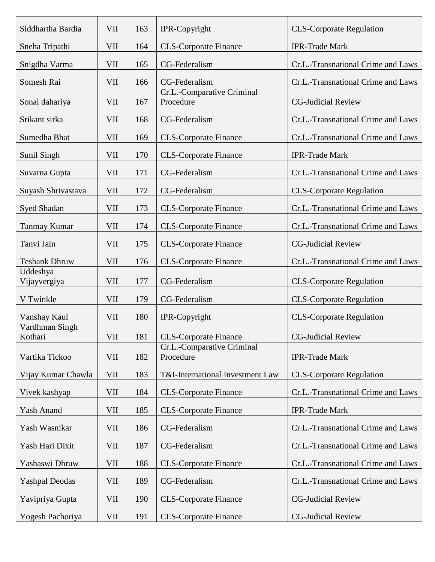| Siddhartha Bardia         | VII        | 163 | IPR-Copyright                           | <b>CLS-Corporate Regulation</b>    |
|---------------------------|------------|-----|-----------------------------------------|------------------------------------|
| Sneha Tripathi            | VII        | 164 | <b>CLS-Corporate Finance</b>            | <b>IPR-Trade Mark</b>              |
| Snigdha Varma             | VII        | 165 | CG-Federalism                           | Cr.L.-Transnational Crime and Laws |
| Somesh Rai                | VII        | 166 | CG-Federalism                           | Cr.L.-Transnational Crime and Laws |
| Sonal dahariya            | VII        | 167 | Cr.L.-Comparative Criminal<br>Procedure | <b>CG-Judicial Review</b>          |
| Srikant sirka             | VII        | 168 | CG-Federalism                           | Cr.L.-Transnational Crime and Laws |
| Sumedha Bhat              | VII        | 169 | <b>CLS-Corporate Finance</b>            | Cr.L.-Transnational Crime and Laws |
| Sunil Singh               | VII        | 170 | <b>CLS-Corporate Finance</b>            | <b>IPR-Trade Mark</b>              |
| Suvarna Gupta             | VII        | 171 | CG-Federalism                           | Cr.L.-Transnational Crime and Laws |
| Suyash Shrivastava        | VII        | 172 | CG-Federalism                           | <b>CLS-Corporate Regulation</b>    |
| Syed Shadan               | VII        | 173 | <b>CLS-Corporate Finance</b>            | Cr.L.-Transnational Crime and Laws |
| <b>Tanmay Kumar</b>       | VII        | 174 | <b>CLS-Corporate Finance</b>            | Cr.L.-Transnational Crime and Laws |
| Tanvi Jain                | VII        | 175 | <b>CLS-Corporate Finance</b>            | <b>CG-Judicial Review</b>          |
| <b>Teshank Dhruw</b>      | VII        | 176 | <b>CLS-Corporate Finance</b>            | Cr.L.-Transnational Crime and Laws |
| Uddeshya<br>Vijayvergiya  | VII        | 177 | CG-Federalism                           | <b>CLS-Corporate Regulation</b>    |
| V Twinkle                 | VII        | 179 | CG-Federalism                           | <b>CLS-Corporate Regulation</b>    |
| Vanshay Kaul              | <b>VII</b> | 180 | IPR-Copyright                           | <b>CLS-Corporate Regulation</b>    |
| Vardhman Singh<br>Kothari | <b>VII</b> | 181 | CLS-Corporate Finance                   | <b>CG-Judicial Review</b>          |
| Vartika Tickoo            | VII        | 182 | Cr.L.-Comparative Criminal<br>Procedure | <b>IPR-Trade Mark</b>              |
| Vijay Kumar Chawla        | VII        | 183 | T&I-International Investment Law        | <b>CLS-Corporate Regulation</b>    |
| Vivek kashyap             | VII        | 184 | <b>CLS-Corporate Finance</b>            | Cr.L.-Transnational Crime and Laws |
| Yash Anand                | VII        | 185 | <b>CLS-Corporate Finance</b>            | <b>IPR-Trade Mark</b>              |
| Yash Wasnikar             | VII        | 186 | CG-Federalism                           | Cr.L.-Transnational Crime and Laws |
| Yash Hari Dixit           | VII        | 187 | CG-Federalism                           | Cr.L.-Transnational Crime and Laws |
| Yashaswi Dhruw            | VII        | 188 | <b>CLS-Corporate Finance</b>            | Cr.L.-Transnational Crime and Laws |
| <b>Yashpal Deodas</b>     | VII        | 189 | CG-Federalism                           | Cr.L.-Transnational Crime and Laws |
| Yavipriya Gupta           | VII        | 190 | <b>CLS-Corporate Finance</b>            | <b>CG-Judicial Review</b>          |
| Yogesh Pachoriya          | VII        | 191 | <b>CLS-Corporate Finance</b>            | <b>CG-Judicial Review</b>          |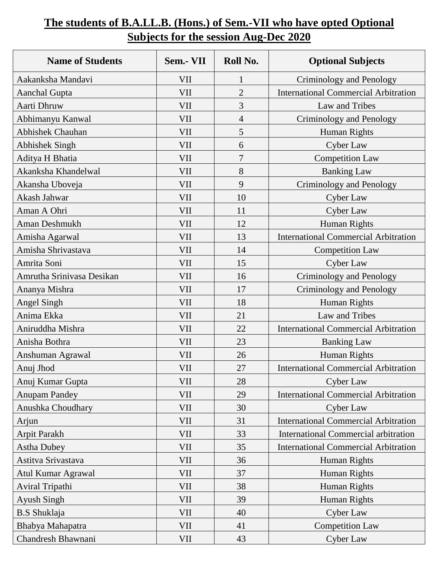## **The students of B.A.LL.B. (Hons.) of Sem.-VII who have opted Optional Subjects for the session Aug-Dec 2020**

| <b>Name of Students</b>   | Sem.- VII  | Roll No.       | <b>Optional Subjects</b>                    |
|---------------------------|------------|----------------|---------------------------------------------|
| Aakanksha Mandavi         | VII        | 1              | Criminology and Penology                    |
| <b>Aanchal Gupta</b>      | <b>VII</b> | $\overline{2}$ | <b>International Commercial Arbitration</b> |
| Aarti Dhruw               | VII        | 3              | Law and Tribes                              |
| Abhimanyu Kanwal          | VII        | $\overline{4}$ | Criminology and Penology                    |
| <b>Abhishek Chauhan</b>   | VII        | 5              | Human Rights                                |
| <b>Abhishek Singh</b>     | VII        | 6              | Cyber Law                                   |
| Aditya H Bhatia           | VII        | 7              | <b>Competition Law</b>                      |
| Akanksha Khandelwal       | VII        | 8              | <b>Banking Law</b>                          |
| Akansha Uboveja           | <b>VII</b> | 9              | Criminology and Penology                    |
| Akash Jahwar              | VII        | 10             | <b>Cyber Law</b>                            |
| Aman A Ohri               | VII        | 11             | <b>Cyber Law</b>                            |
| Aman Deshmukh             | VII        | 12             | Human Rights                                |
| Amisha Agarwal            | <b>VII</b> | 13             | <b>International Commercial Arbitration</b> |
| Amisha Shrivastava        | VII        | 14             | <b>Competition Law</b>                      |
| Amrita Soni               | <b>VII</b> | 15             | Cyber Law                                   |
| Amrutha Srinivasa Desikan | VII        | 16             | Criminology and Penology                    |
| Ananya Mishra             | VII        | 17             | Criminology and Penology                    |
| <b>Angel Singh</b>        | <b>VII</b> | 18             | Human Rights                                |
| Anima Ekka                | VII        | 21             | Law and Tribes                              |
| Aniruddha Mishra          | <b>VII</b> | 22             | <b>International Commercial Arbitration</b> |
| Anisha Bothra             | <b>VII</b> | 23             | <b>Banking Law</b>                          |
| Anshuman Agrawal          | VII        | 26             | Human Rights                                |
| Anuj Jhod                 | <b>VII</b> | $27\,$         | <b>International Commercial Arbitration</b> |
| Anuj Kumar Gupta          | VII        | 28             | <b>Cyber Law</b>                            |
| <b>Anupam Pandey</b>      | VII        | 29             | <b>International Commercial Arbitration</b> |
| Anushka Choudhary         | VII        | 30             | Cyber Law                                   |
| Arjun                     | VII        | 31             | <b>International Commercial Arbitration</b> |
| <b>Arpit Parakh</b>       | VII        | 33             | <b>International Commercial arbitration</b> |
| <b>Astha Dubey</b>        | VII        | 35             | <b>International Commercial Arbitration</b> |
| Astitva Srivastava        | VII        | 36             | Human Rights                                |
| Atul Kumar Agrawal        | VII        | 37             | Human Rights                                |
| Aviral Tripathi           | VII        | 38             | Human Rights                                |
| <b>Ayush Singh</b>        | <b>VII</b> | 39             | Human Rights                                |
| <b>B.S</b> Shuklaja       | VII        | 40             | Cyber Law                                   |
| Bhabya Mahapatra          | VII        | 41             | <b>Competition Law</b>                      |
| Chandresh Bhawnani        | VII        | 43             | Cyber Law                                   |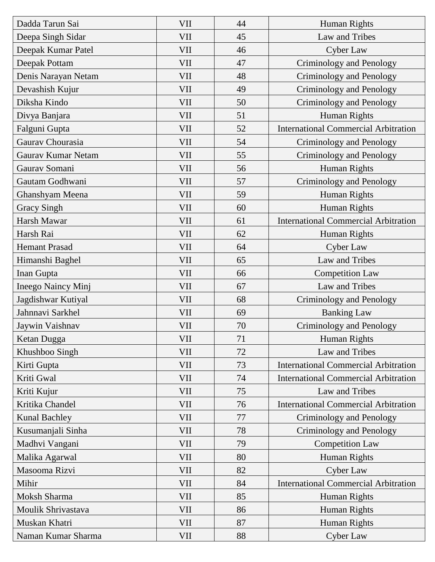| Dadda Tarun Sai           | <b>VII</b> | 44 | Human Rights                                |
|---------------------------|------------|----|---------------------------------------------|
| Deepa Singh Sidar         | <b>VII</b> | 45 | Law and Tribes                              |
| Deepak Kumar Patel        | <b>VII</b> | 46 | Cyber Law                                   |
| Deepak Pottam             | <b>VII</b> | 47 | <b>Criminology and Penology</b>             |
| Denis Narayan Netam       | <b>VII</b> | 48 | <b>Criminology and Penology</b>             |
| Devashish Kujur           | <b>VII</b> | 49 | Criminology and Penology                    |
| Diksha Kindo              | <b>VII</b> | 50 | Criminology and Penology                    |
| Divya Banjara             | <b>VII</b> | 51 | Human Rights                                |
| Falguni Gupta             | <b>VII</b> | 52 | <b>International Commercial Arbitration</b> |
| Gaurav Chourasia          | <b>VII</b> | 54 | Criminology and Penology                    |
| <b>Gaurav Kumar Netam</b> | <b>VII</b> | 55 | Criminology and Penology                    |
| Gaurav Somani             | <b>VII</b> | 56 | Human Rights                                |
| Gautam Godhwani           | <b>VII</b> | 57 | Criminology and Penology                    |
| Ghanshyam Meena           | <b>VII</b> | 59 | Human Rights                                |
| <b>Gracy Singh</b>        | <b>VII</b> | 60 | Human Rights                                |
| Harsh Mawar               | <b>VII</b> | 61 | <b>International Commercial Arbitration</b> |
| Harsh Rai                 | <b>VII</b> | 62 | Human Rights                                |
| <b>Hemant Prasad</b>      | <b>VII</b> | 64 | Cyber Law                                   |
| Himanshi Baghel           | VII        | 65 | Law and Tribes                              |
| Inan Gupta                | <b>VII</b> | 66 | <b>Competition Law</b>                      |
| Ineego Naincy Minj        | <b>VII</b> | 67 | Law and Tribes                              |
| Jagdishwar Kutiyal        | VII        | 68 | Criminology and Penology                    |
| Jahnnavi Sarkhel          | <b>VII</b> | 69 | <b>Banking Law</b>                          |
| Jaywin Vaishnav           | <b>VII</b> | 70 | Criminology and Penology                    |
| Ketan Dugga               | VII        | 71 | Human Rights                                |
| Khushboo Singh            | <b>VII</b> | 72 | Law and Tribes                              |
| Kirti Gupta               | VII        | 73 | <b>International Commercial Arbitration</b> |
| Kriti Gwal                | VII        | 74 | <b>International Commercial Arbitration</b> |
| Kriti Kujur               | VII        | 75 | Law and Tribes                              |
| Kritika Chandel           | VII        | 76 | <b>International Commercial Arbitration</b> |
| <b>Kunal Bachley</b>      | VII        | 77 | Criminology and Penology                    |
| Kusumanjali Sinha         | VII        | 78 | <b>Criminology and Penology</b>             |
| Madhvi Vangani            | <b>VII</b> | 79 | <b>Competition Law</b>                      |
| Malika Agarwal            | VII        | 80 | Human Rights                                |
| Masooma Rizvi             | <b>VII</b> | 82 | Cyber Law                                   |
| Mihir                     | VII        | 84 | <b>International Commercial Arbitration</b> |
| Moksh Sharma              | <b>VII</b> | 85 | Human Rights                                |
| Moulik Shrivastava        | VII        | 86 | Human Rights                                |
| Muskan Khatri             | <b>VII</b> | 87 | <b>Human Rights</b>                         |
| Naman Kumar Sharma        | <b>VII</b> | 88 | <b>Cyber Law</b>                            |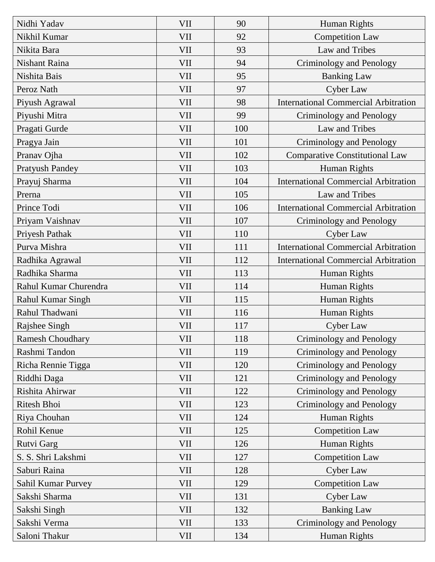| Nidhi Yadav             | <b>VII</b> | 90  | Human Rights                                |
|-------------------------|------------|-----|---------------------------------------------|
| Nikhil Kumar            | <b>VII</b> | 92  | <b>Competition Law</b>                      |
| Nikita Bara             | <b>VII</b> | 93  | Law and Tribes                              |
| <b>Nishant Raina</b>    | <b>VII</b> | 94  | <b>Criminology and Penology</b>             |
| Nishita Bais            | <b>VII</b> | 95  | <b>Banking Law</b>                          |
| Peroz Nath              | <b>VII</b> | 97  | Cyber Law                                   |
| Piyush Agrawal          | <b>VII</b> | 98  | <b>International Commercial Arbitration</b> |
| Piyushi Mitra           | <b>VII</b> | 99  | Criminology and Penology                    |
| Pragati Gurde           | <b>VII</b> | 100 | Law and Tribes                              |
| Pragya Jain             | <b>VII</b> | 101 | Criminology and Penology                    |
| Pranav Ojha             | <b>VII</b> | 102 | <b>Comparative Constitutional Law</b>       |
| <b>Pratyush Pandey</b>  | <b>VII</b> | 103 | Human Rights                                |
| Prayuj Sharma           | <b>VII</b> | 104 | <b>International Commercial Arbitration</b> |
| Prerna                  | <b>VII</b> | 105 | Law and Tribes                              |
| Prince Todi             | <b>VII</b> | 106 | <b>International Commercial Arbitration</b> |
| Priyam Vaishnav         | <b>VII</b> | 107 | Criminology and Penology                    |
| Priyesh Pathak          | <b>VII</b> | 110 | <b>Cyber Law</b>                            |
| Purva Mishra            | <b>VII</b> | 111 | <b>International Commercial Arbitration</b> |
| Radhika Agrawal         | <b>VII</b> | 112 | <b>International Commercial Arbitration</b> |
| Radhika Sharma          | <b>VII</b> | 113 | Human Rights                                |
| Rahul Kumar Churendra   | <b>VII</b> | 114 | Human Rights                                |
| Rahul Kumar Singh       | <b>VII</b> | 115 | Human Rights                                |
| Rahul Thadwani          | <b>VII</b> | 116 | Human Rights                                |
| Rajshee Singh           | <b>VII</b> | 117 | Cyber Law                                   |
| <b>Ramesh Choudhary</b> | VII        | 118 | <b>Criminology and Penology</b>             |
| Rashmi Tandon           | <b>VII</b> | 119 | Criminology and Penology                    |
| Richa Rennie Tigga      | <b>VII</b> | 120 | Criminology and Penology                    |
| Riddhi Daga             | <b>VII</b> | 121 | <b>Criminology and Penology</b>             |
| Rishita Ahirwar         | <b>VII</b> | 122 | Criminology and Penology                    |
| Ritesh Bhoi             | <b>VII</b> | 123 | Criminology and Penology                    |
| Riya Chouhan            | <b>VII</b> | 124 | Human Rights                                |
| Rohil Kenue             | <b>VII</b> | 125 | <b>Competition Law</b>                      |
| Rutvi Garg              | <b>VII</b> | 126 | Human Rights                                |
| S. S. Shri Lakshmi      | <b>VII</b> | 127 | <b>Competition Law</b>                      |
| Saburi Raina            | <b>VII</b> | 128 | <b>Cyber Law</b>                            |
| Sahil Kumar Purvey      | <b>VII</b> | 129 | <b>Competition Law</b>                      |
| Sakshi Sharma           | <b>VII</b> | 131 | Cyber Law                                   |
| Sakshi Singh            | <b>VII</b> | 132 | <b>Banking Law</b>                          |
| Sakshi Verma            | <b>VII</b> | 133 | Criminology and Penology                    |
| Saloni Thakur           | VII        | 134 | Human Rights                                |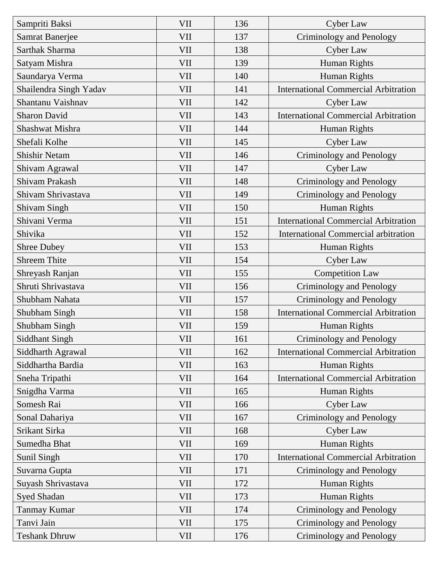| Sampriti Baksi         | <b>VII</b> | 136 | <b>Cyber Law</b>                            |
|------------------------|------------|-----|---------------------------------------------|
| <b>Samrat Banerjee</b> | <b>VII</b> | 137 | <b>Criminology and Penology</b>             |
| <b>Sarthak Sharma</b>  | <b>VII</b> | 138 | Cyber Law                                   |
| Satyam Mishra          | <b>VII</b> | 139 | Human Rights                                |
| Saundarya Verma        | <b>VII</b> | 140 | Human Rights                                |
| Shailendra Singh Yadav | <b>VII</b> | 141 | <b>International Commercial Arbitration</b> |
| Shantanu Vaishnav      | <b>VII</b> | 142 | Cyber Law                                   |
| <b>Sharon David</b>    | <b>VII</b> | 143 | <b>International Commercial Arbitration</b> |
| Shashwat Mishra        | <b>VII</b> | 144 | Human Rights                                |
| Shefali Kolhe          | <b>VII</b> | 145 | Cyber Law                                   |
| <b>Shishir Netam</b>   | <b>VII</b> | 146 | Criminology and Penology                    |
| Shivam Agrawal         | <b>VII</b> | 147 | <b>Cyber Law</b>                            |
| <b>Shivam Prakash</b>  | VII        | 148 | Criminology and Penology                    |
| Shivam Shrivastava     | <b>VII</b> | 149 | Criminology and Penology                    |
| <b>Shivam Singh</b>    | VII        | 150 | Human Rights                                |
| Shivani Verma          | <b>VII</b> | 151 | <b>International Commercial Arbitration</b> |
| Shivika                | <b>VII</b> | 152 | <b>International Commercial arbitration</b> |
| <b>Shree Dubey</b>     | <b>VII</b> | 153 | Human Rights                                |
| <b>Shreem Thite</b>    | <b>VII</b> | 154 | Cyber Law                                   |
| Shreyash Ranjan        | <b>VII</b> | 155 | <b>Competition Law</b>                      |
| Shruti Shrivastava     | <b>VII</b> | 156 | Criminology and Penology                    |
| Shubham Nahata         | <b>VII</b> | 157 | <b>Criminology and Penology</b>             |
| Shubham Singh          | <b>VII</b> | 158 | <b>International Commercial Arbitration</b> |
| <b>Shubham Singh</b>   | <b>VII</b> | 159 | Human Rights                                |
| <b>Siddhant Singh</b>  | VII        | 161 | <b>Criminology and Penology</b>             |
| Siddharth Agrawal      | <b>VII</b> | 162 | <b>International Commercial Arbitration</b> |
| Siddhartha Bardia      | VII        | 163 | Human Rights                                |
| Sneha Tripathi         | <b>VII</b> | 164 | <b>International Commercial Arbitration</b> |
| Snigdha Varma          | VII        | 165 | Human Rights                                |
| Somesh Rai             | VII        | 166 | Cyber Law                                   |
| Sonal Dahariya         | VII        | 167 | <b>Criminology and Penology</b>             |
| Srikant Sirka          | VII        | 168 | Cyber Law                                   |
| Sumedha Bhat           | <b>VII</b> | 169 | Human Rights                                |
| Sunil Singh            | VII        | 170 | <b>International Commercial Arbitration</b> |
| Suvarna Gupta          | VII        | 171 | Criminology and Penology                    |
| Suyash Shrivastava     | VII        | 172 | Human Rights                                |
| Syed Shadan            | VII        | 173 | Human Rights                                |
| <b>Tanmay Kumar</b>    | VII        | 174 | Criminology and Penology                    |
| Tanvi Jain             | <b>VII</b> | 175 | Criminology and Penology                    |
| <b>Teshank Dhruw</b>   | VII        | 176 | <b>Criminology and Penology</b>             |